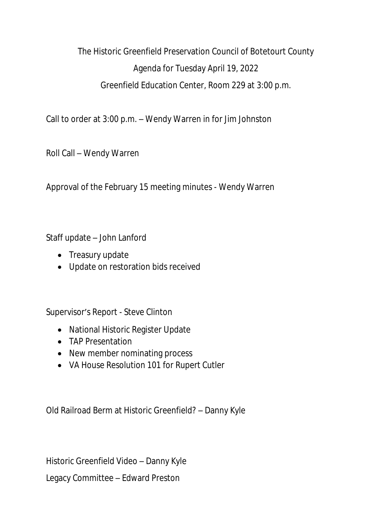The Historic Greenfield Preservation Council of Botetourt County Agenda for Tuesday April 19, 2022 Greenfield Education Center, Room 229 at 3:00 p.m.

Call to order at 3:00 p.m. – Wendy Warren in for Jim Johnston

Roll Call – Wendy Warren

Approval of the February 15 meeting minutes - Wendy Warren

Staff update – John Lanford

- Treasury update
- Update on restoration bids received

Supervisor's Report - Steve Clinton

- National Historic Register Update
- TAP Presentation
- New member nominating process
- VA House Resolution 101 for Rupert Cutler

Old Railroad Berm at Historic Greenfield? – Danny Kyle

Historic Greenfield Video – Danny Kyle

Legacy Committee – Edward Preston